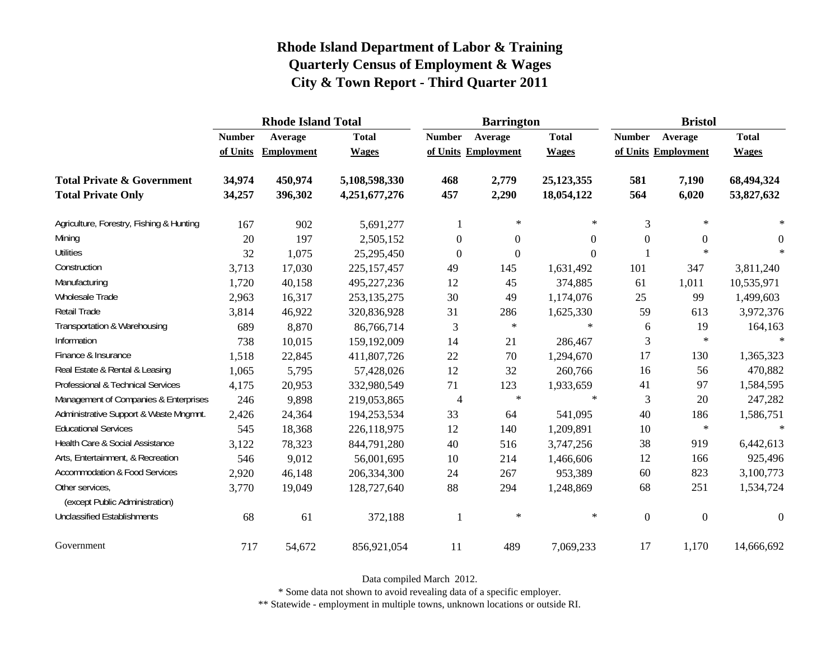|                                                   |               | <b>Rhode Island Total</b> |               |                     | <b>Barrington</b> |              | <b>Bristol</b>   |                     |              |  |
|---------------------------------------------------|---------------|---------------------------|---------------|---------------------|-------------------|--------------|------------------|---------------------|--------------|--|
|                                                   | <b>Number</b> | Average                   | <b>Total</b>  | <b>Number</b>       | Average           | <b>Total</b> | <b>Number</b>    | Average             | <b>Total</b> |  |
|                                                   | of Units      | Employment                | <b>Wages</b>  | of Units Employment |                   | <b>Wages</b> |                  | of Units Employment | <b>Wages</b> |  |
| <b>Total Private &amp; Government</b>             | 34,974        | 450,974                   | 5,108,598,330 | 468                 | 2,779             | 25,123,355   | 581              | 7,190               | 68,494,324   |  |
| <b>Total Private Only</b>                         | 34,257        | 396,302                   | 4,251,677,276 | 457                 | 2,290             | 18,054,122   | 564              | 6,020               | 53,827,632   |  |
| Agriculture, Forestry, Fishing & Hunting          | 167           | 902                       | 5,691,277     | 1                   | $\ast$            | $\ast$       | 3                | $\ast$              | $\ast$       |  |
| Mining                                            | 20            | 197                       | 2,505,152     | $\overline{0}$      | $\theta$          | $\Omega$     | $\boldsymbol{0}$ | $\overline{0}$      | $\Omega$     |  |
| <b>Utilities</b>                                  | 32            | 1,075                     | 25,295,450    | $\boldsymbol{0}$    | $\boldsymbol{0}$  | $\Omega$     |                  | $\star$             | $\ast$       |  |
| Construction                                      | 3,713         | 17,030                    | 225, 157, 457 | 49                  | 145               | 1,631,492    | 101              | 347                 | 3,811,240    |  |
| Manufacturing                                     | 1,720         | 40,158                    | 495,227,236   | 12                  | 45                | 374,885      | 61               | 1,011               | 10,535,971   |  |
| Wholesale Trade                                   | 2,963         | 16,317                    | 253, 135, 275 | 30                  | 49                | 1,174,076    | 25               | 99                  | 1,499,603    |  |
| Retail Trade                                      | 3,814         | 46,922                    | 320,836,928   | 31                  | 286               | 1,625,330    | 59               | 613                 | 3,972,376    |  |
| Transportation & Warehousing                      | 689           | 8,870                     | 86,766,714    | 3                   | $\ast$            | $\ast$       | 6                | 19                  | 164,163      |  |
| Information                                       | 738           | 10,015                    | 159,192,009   | 14                  | 21                | 286,467      | 3                | $\ast$              | $\ast$       |  |
| Finance & Insurance                               | 1,518         | 22,845                    | 411,807,726   | 22                  | 70                | 1,294,670    | 17               | 130                 | 1,365,323    |  |
| Real Estate & Rental & Leasing                    | 1,065         | 5,795                     | 57,428,026    | 12                  | 32                | 260,766      | 16               | 56                  | 470,882      |  |
| Professional & Technical Services                 | 4,175         | 20,953                    | 332,980,549   | 71                  | 123               | 1,933,659    | 41               | 97                  | 1,584,595    |  |
| Management of Companies & Enterprises             | 246           | 9,898                     | 219,053,865   | 4                   | $\ast$            | $\ast$       | 3                | 20                  | 247,282      |  |
| Administrative Support & Waste Mngmnt.            | 2,426         | 24,364                    | 194,253,534   | 33                  | 64                | 541,095      | 40               | 186                 | 1,586,751    |  |
| <b>Educational Services</b>                       | 545           | 18,368                    | 226,118,975   | 12                  | 140               | 1,209,891    | 10               | $\ast$              | $\star$      |  |
| Health Care & Social Assistance                   | 3,122         | 78,323                    | 844,791,280   | 40                  | 516               | 3,747,256    | 38               | 919                 | 6,442,613    |  |
| Arts, Entertainment, & Recreation                 | 546           | 9,012                     | 56,001,695    | 10                  | 214               | 1,466,606    | 12               | 166                 | 925,496      |  |
| Accommodation & Food Services                     | 2,920         | 46,148                    | 206,334,300   | 24                  | 267               | 953,389      | 60               | 823                 | 3,100,773    |  |
| Other services,<br>(except Public Administration) | 3,770         | 19,049                    | 128,727,640   | 88                  | 294               | 1,248,869    | 68               | 251                 | 1,534,724    |  |
| <b>Unclassified Establishments</b>                | 68            | 61                        | 372,188       | $\mathbf{1}$        | $\ast$            | $\ast$       | $\boldsymbol{0}$ | $\boldsymbol{0}$    | $\theta$     |  |
| Government                                        | 717           | 54,672                    | 856,921,054   | 11                  | 489               | 7,069,233    | 17               | 1,170               | 14,666,692   |  |

Data compiled March 2012.

\* Some data not shown to avoid revealing data of a specific employer.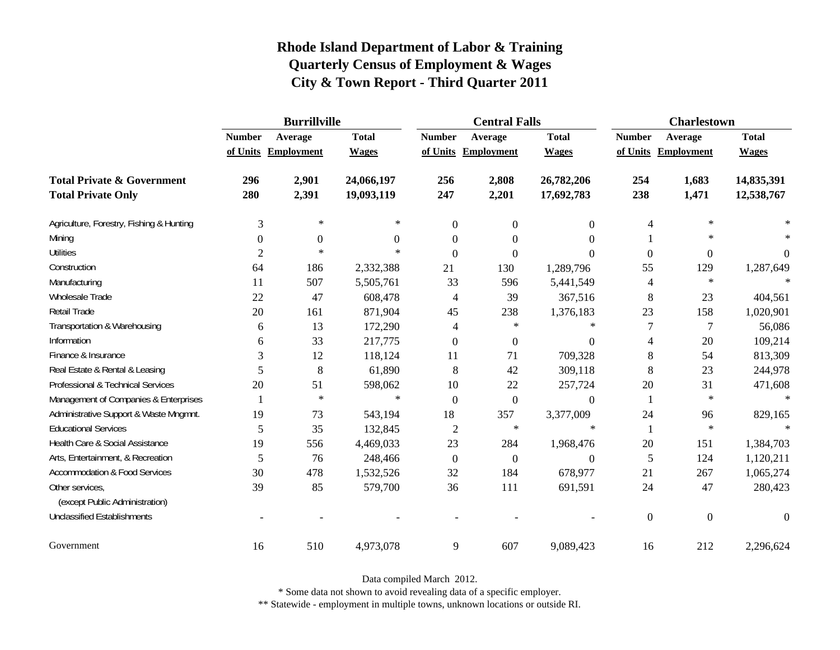|                                          | <b>Burrillville</b> |                     |              |               | <b>Central Falls</b> |                  | <b>Charlestown</b> |                     |              |  |
|------------------------------------------|---------------------|---------------------|--------------|---------------|----------------------|------------------|--------------------|---------------------|--------------|--|
|                                          | <b>Number</b>       | Average             | <b>Total</b> | <b>Number</b> | Average              | <b>Total</b>     | <b>Number</b>      | Average             | <b>Total</b> |  |
|                                          |                     | of Units Employment | <b>Wages</b> |               | of Units Employment  | <b>Wages</b>     |                    | of Units Employment | <b>Wages</b> |  |
| <b>Total Private &amp; Government</b>    | 296                 | 2,901               | 24,066,197   | 256           | 2,808                | 26,782,206       | 254                | 1,683               | 14,835,391   |  |
| <b>Total Private Only</b>                | 280                 | 2,391               | 19,093,119   | 247           | 2,201                | 17,692,783       | 238                | 1,471               | 12,538,767   |  |
| Agriculture, Forestry, Fishing & Hunting | 3                   | $\ast$              | $\ast$       | $\mathbf{0}$  | $\mathbf{0}$         | $\overline{0}$   | 4                  | $\ast$              |              |  |
| Mining                                   | $\theta$            | $\boldsymbol{0}$    | $\Omega$     | $\Omega$      | $\theta$             | $\boldsymbol{0}$ | 1                  | $\ast$              |              |  |
| <b>Utilities</b>                         | 2                   | $\ast$              | $\ast$       | $\Omega$      | $\Omega$             | $\Omega$         | $\overline{0}$     | $\overline{0}$      | $\Omega$     |  |
| Construction                             | 64                  | 186                 | 2,332,388    | 21            | 130                  | 1,289,796        | 55                 | 129                 | 1,287,649    |  |
| Manufacturing                            | 11                  | 507                 | 5,505,761    | 33            | 596                  | 5,441,549        | 4                  | $\ast$              | $\star$      |  |
| Wholesale Trade                          | 22                  | 47                  | 608,478      | 4             | 39                   | 367,516          | $\,8\,$            | 23                  | 404,561      |  |
| Retail Trade                             | 20                  | 161                 | 871,904      | 45            | 238                  | 1,376,183        | 23                 | 158                 | 1,020,901    |  |
| Transportation & Warehousing             | 6                   | 13                  | 172,290      | 4             | $\ast$               | $\ast$           | $\overline{7}$     | $\overline{7}$      | 56,086       |  |
| Information                              | 6                   | 33                  | 217,775      | $\mathbf{0}$  | $\mathbf{0}$         | $\overline{0}$   | 4                  | 20                  | 109,214      |  |
| Finance & Insurance                      | 3                   | 12                  | 118,124      | 11            | 71                   | 709,328          | 8                  | 54                  | 813,309      |  |
| Real Estate & Rental & Leasing           | 5                   | 8                   | 61,890       | 8             | 42                   | 309,118          | 8                  | 23                  | 244,978      |  |
| Professional & Technical Services        | 20                  | 51                  | 598,062      | 10            | 22                   | 257,724          | 20                 | 31                  | 471,608      |  |
| Management of Companies & Enterprises    |                     | $\ast$              | $\ast$       | $\mathbf{0}$  | $\boldsymbol{0}$     | $\overline{0}$   | $\mathbf{1}$       | $\ast$              | $\ast$       |  |
| Administrative Support & Waste Mngmnt.   | 19                  | 73                  | 543,194      | 18            | 357                  | 3,377,009        | 24                 | 96                  | 829,165      |  |
| <b>Educational Services</b>              | 5                   | 35                  | 132,845      | 2             | $\ast$               | $\ast$           | $\mathbf{1}$       | $\ast$              |              |  |
| Health Care & Social Assistance          | 19                  | 556                 | 4,469,033    | 23            | 284                  | 1,968,476        | 20                 | 151                 | 1,384,703    |  |
| Arts, Entertainment, & Recreation        | 5                   | 76                  | 248,466      | $\mathbf{0}$  | $\mathbf{0}$         | $\overline{0}$   | 5                  | 124                 | 1,120,211    |  |
| <b>Accommodation &amp; Food Services</b> | 30                  | 478                 | 1,532,526    | 32            | 184                  | 678,977          | 21                 | 267                 | 1,065,274    |  |
| Other services,                          | 39                  | 85                  | 579,700      | 36            | 111                  | 691,591          | 24                 | 47                  | 280,423      |  |
| (except Public Administration)           |                     |                     |              |               |                      |                  |                    |                     |              |  |
| <b>Unclassified Establishments</b>       |                     |                     |              |               |                      |                  | $\overline{0}$     | $\boldsymbol{0}$    | $\theta$     |  |
| Government                               | 16                  | 510                 | 4,973,078    | 9             | 607                  | 9,089,423        | 16                 | 212                 | 2,296,624    |  |

Data compiled March 2012.

\* Some data not shown to avoid revealing data of a specific employer.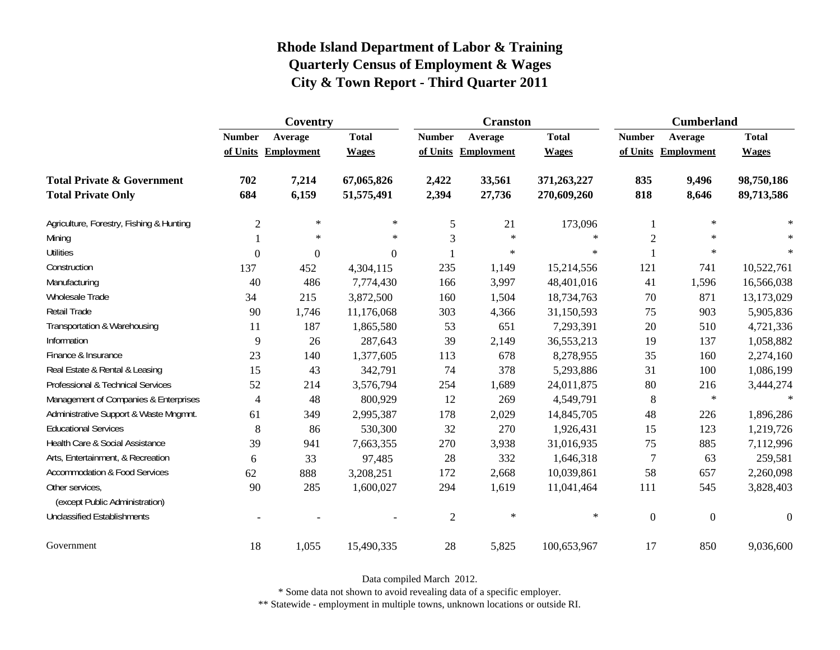|                                                   | Coventry       |                     |                  |                | <b>Cranston</b>     |              | <b>Cumberland</b> |                     |              |
|---------------------------------------------------|----------------|---------------------|------------------|----------------|---------------------|--------------|-------------------|---------------------|--------------|
|                                                   | <b>Number</b>  | Average             | <b>Total</b>     | <b>Number</b>  | Average             | <b>Total</b> | <b>Number</b>     | Average             | <b>Total</b> |
|                                                   |                | of Units Employment | <b>Wages</b>     |                | of Units Employment | <b>Wages</b> |                   | of Units Employment | <b>Wages</b> |
| <b>Total Private &amp; Government</b>             | 702            | 7,214               | 67,065,826       | 2,422          | 33,561              | 371,263,227  | 835               | 9,496               | 98,750,186   |
| <b>Total Private Only</b>                         | 684            | 6,159               | 51,575,491       | 2,394          | 27,736              | 270,609,260  | 818               | 8,646               | 89,713,586   |
| Agriculture, Forestry, Fishing & Hunting          | $\mathfrak{2}$ | $\ast$              | $\ast$           | 5              | 21                  | 173,096      | 1                 | $\ast$              |              |
| Mining                                            |                | $\ast$              | $\ast$           | 3              | $\ast$              | $\ast$       | $\mathfrak{2}$    | $\ast$              |              |
| <b>Utilities</b>                                  | $\theta$       | $\boldsymbol{0}$    | $\boldsymbol{0}$ |                | $\ast$              | $\ast$       |                   | $\ast$              | $\ast$       |
| Construction                                      | 137            | 452                 | 4,304,115        | 235            | 1,149               | 15,214,556   | 121               | 741                 | 10,522,761   |
| Manufacturing                                     | 40             | 486                 | 7,774,430        | 166            | 3,997               | 48,401,016   | 41                | 1,596               | 16,566,038   |
| <b>Wholesale Trade</b>                            | 34             | 215                 | 3,872,500        | 160            | 1,504               | 18,734,763   | 70                | 871                 | 13,173,029   |
| Retail Trade                                      | 90             | 1,746               | 11,176,068       | 303            | 4,366               | 31,150,593   | 75                | 903                 | 5,905,836    |
| Transportation & Warehousing                      | 11             | 187                 | 1,865,580        | 53             | 651                 | 7,293,391    | $20\,$            | 510                 | 4,721,336    |
| Information                                       | 9              | 26                  | 287,643          | 39             | 2,149               | 36,553,213   | 19                | 137                 | 1,058,882    |
| Finance & Insurance                               | 23             | 140                 | 1,377,605        | 113            | 678                 | 8,278,955    | 35                | 160                 | 2,274,160    |
| Real Estate & Rental & Leasing                    | 15             | 43                  | 342,791          | 74             | 378                 | 5,293,886    | 31                | 100                 | 1,086,199    |
| Professional & Technical Services                 | 52             | 214                 | 3,576,794        | 254            | 1,689               | 24,011,875   | 80                | 216                 | 3,444,274    |
| Management of Companies & Enterprises             | $\overline{4}$ | 48                  | 800,929          | 12             | 269                 | 4,549,791    | $\,8\,$           | $\ast$              | $\star$      |
| Administrative Support & Waste Mngmnt.            | 61             | 349                 | 2,995,387        | 178            | 2,029               | 14,845,705   | 48                | 226                 | 1,896,286    |
| <b>Educational Services</b>                       | 8              | 86                  | 530,300          | 32             | 270                 | 1,926,431    | 15                | 123                 | 1,219,726    |
| Health Care & Social Assistance                   | 39             | 941                 | 7,663,355        | 270            | 3,938               | 31,016,935   | 75                | 885                 | 7,112,996    |
| Arts, Entertainment, & Recreation                 | 6              | 33                  | 97,485           | 28             | 332                 | 1,646,318    | $\overline{7}$    | 63                  | 259,581      |
| <b>Accommodation &amp; Food Services</b>          | 62             | 888                 | 3,208,251        | 172            | 2,668               | 10,039,861   | 58                | 657                 | 2,260,098    |
| Other services,<br>(except Public Administration) | 90             | 285                 | 1,600,027        | 294            | 1,619               | 11,041,464   | 111               | 545                 | 3,828,403    |
| <b>Unclassified Establishments</b>                |                |                     |                  | $\overline{2}$ | $\ast$              | $\ast$       | $\boldsymbol{0}$  | $\overline{0}$      | $\Omega$     |
| Government                                        | 18             | 1,055               | 15,490,335       | 28             | 5,825               | 100,653,967  | 17                | 850                 | 9,036,600    |

Data compiled March 2012.

\* Some data not shown to avoid revealing data of a specific employer.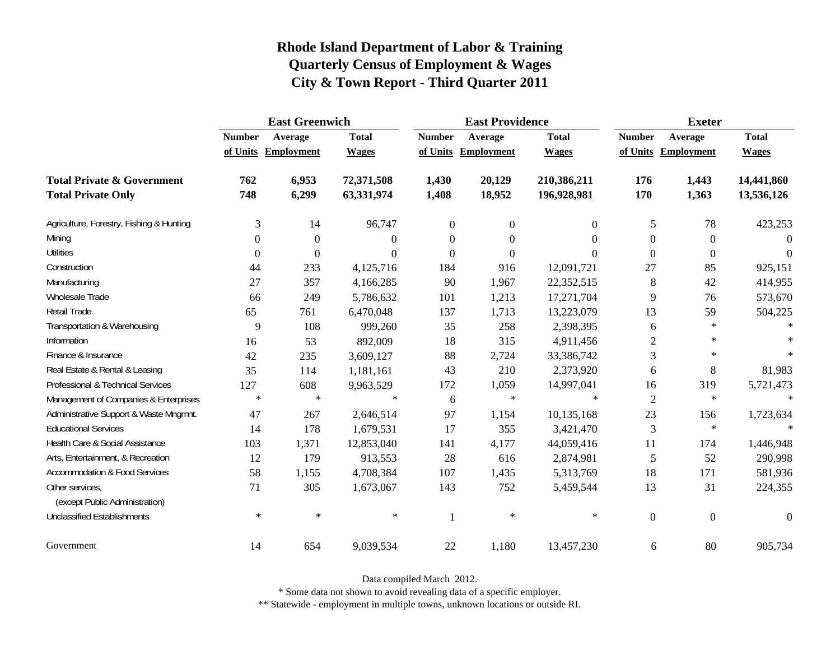|                                                   | <b>East Greenwich</b> |                     |              |                  | <b>East Providence</b> |              | <b>Exeter</b>    |                     |              |
|---------------------------------------------------|-----------------------|---------------------|--------------|------------------|------------------------|--------------|------------------|---------------------|--------------|
|                                                   | <b>Number</b>         | Average             | <b>Total</b> | <b>Number</b>    | Average                | <b>Total</b> | <b>Number</b>    | Average             | <b>Total</b> |
|                                                   |                       | of Units Employment | <b>Wages</b> |                  | of Units Employment    | <b>Wages</b> |                  | of Units Employment | <b>Wages</b> |
| <b>Total Private &amp; Government</b>             | 762                   | 6,953               | 72,371,508   | 1,430            | 20,129                 | 210,386,211  | 176              | 1,443               | 14,441,860   |
| <b>Total Private Only</b>                         | 748                   | 6,299               | 63,331,974   | 1,408            | 18,952                 | 196,928,981  | 170              | 1,363               | 13,536,126   |
| Agriculture, Forestry, Fishing & Hunting          | 3                     | 14                  | 96,747       | $\boldsymbol{0}$ | $\boldsymbol{0}$       | $\Omega$     | 5                | 78                  | 423,253      |
| Mining                                            | $\Omega$              | $\Omega$            | $\Omega$     | $\Omega$         | $\theta$               | 0            | $\boldsymbol{0}$ | $\overline{0}$      | $\Omega$     |
| <b>Utilities</b>                                  | $\boldsymbol{0}$      | $\theta$            | $\Omega$     | $\overline{0}$   | $\boldsymbol{0}$       | $\Omega$     | $\mathbf{0}$     | $\overline{0}$      | $\theta$     |
| Construction                                      | 44                    | 233                 | 4,125,716    | 184              | 916                    | 12,091,721   | 27               | 85                  | 925,151      |
| Manufacturing                                     | 27                    | 357                 | 4,166,285    | 90               | 1,967                  | 22,352,515   | $8\phantom{1}$   | 42                  | 414,955      |
| Wholesale Trade                                   | 66                    | 249                 | 5,786,632    | 101              | 1,213                  | 17,271,704   | 9                | 76                  | 573,670      |
| Retail Trade                                      | 65                    | 761                 | 6,470,048    | 137              | 1,713                  | 13,223,079   | 13               | 59                  | 504,225      |
| Transportation & Warehousing                      | 9                     | 108                 | 999,260      | 35               | 258                    | 2,398,395    | 6                | $\ast$              | $\ast$       |
| Information                                       | 16                    | 53                  | 892,009      | 18               | 315                    | 4,911,456    | 2                | $\ast$              |              |
| Finance & Insurance                               | 42                    | 235                 | 3,609,127    | 88               | 2,724                  | 33,386,742   | 3                | $\ast$              |              |
| Real Estate & Rental & Leasing                    | 35                    | 114                 | 1,181,161    | 43               | 210                    | 2,373,920    | 6                | 8                   | 81,983       |
| Professional & Technical Services                 | 127                   | 608                 | 9,963,529    | 172              | 1,059                  | 14,997,041   | 16               | 319                 | 5,721,473    |
| Management of Companies & Enterprises             | $\ast$                | $\ast$              | $\ast$       | 6                | $\ast$                 | $\ast$       | $\mathfrak{2}$   | $\ast$              | $\ast$       |
| Administrative Support & Waste Mngmnt.            | 47                    | 267                 | 2,646,514    | 97               | 1,154                  | 10,135,168   | 23               | 156                 | 1,723,634    |
| <b>Educational Services</b>                       | 14                    | 178                 | 1,679,531    | 17               | 355                    | 3,421,470    | 3                | $\ast$              |              |
| Health Care & Social Assistance                   | 103                   | 1,371               | 12,853,040   | 141              | 4,177                  | 44,059,416   | 11               | 174                 | 1,446,948    |
| Arts, Entertainment, & Recreation                 | 12                    | 179                 | 913,553      | 28               | 616                    | 2,874,981    | 5                | 52                  | 290,998      |
| <b>Accommodation &amp; Food Services</b>          | 58                    | 1,155               | 4,708,384    | 107              | 1,435                  | 5,313,769    | 18               | 171                 | 581,936      |
| Other services,<br>(except Public Administration) | 71                    | 305                 | 1,673,067    | 143              | 752                    | 5,459,544    | 13               | 31                  | 224,355      |
| <b>Unclassified Establishments</b>                | $\ast$                | $\ast$              | $\ast$       | 1                | $\ast$                 | $\ast$       | $\boldsymbol{0}$ | $\boldsymbol{0}$    | $\theta$     |
| Government                                        | 14                    | 654                 | 9,039,534    | 22               | 1,180                  | 13,457,230   | 6                | 80                  | 905,734      |

Data compiled March 2012.

\* Some data not shown to avoid revealing data of a specific employer.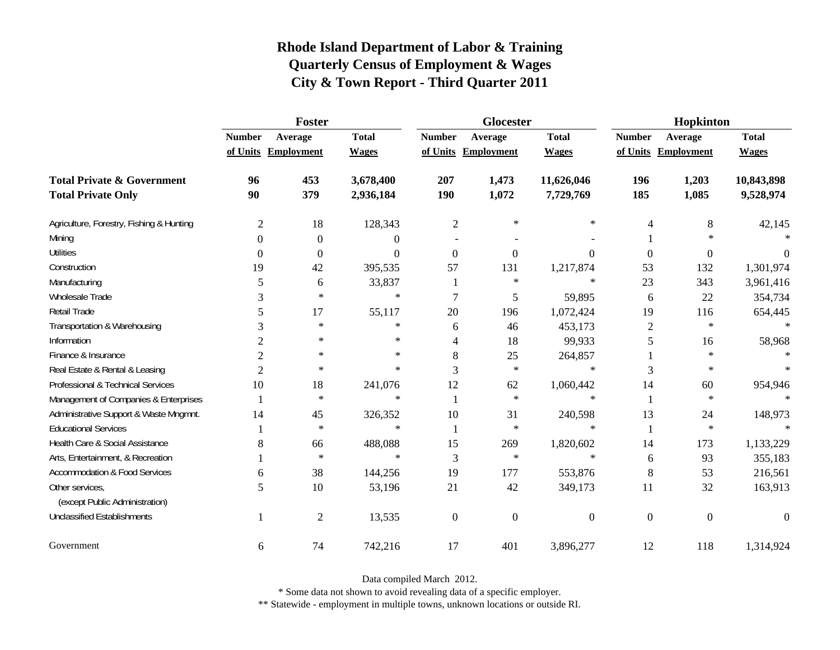|                                                   | Foster         |                     |              |                | <b>Glocester</b>    |                | Hopkinton      |                     |              |  |
|---------------------------------------------------|----------------|---------------------|--------------|----------------|---------------------|----------------|----------------|---------------------|--------------|--|
|                                                   | <b>Number</b>  | Average             | <b>Total</b> | <b>Number</b>  | Average             | <b>Total</b>   | <b>Number</b>  | Average             | <b>Total</b> |  |
|                                                   |                | of Units Employment | <b>Wages</b> |                | of Units Employment | <b>Wages</b>   |                | of Units Employment | <b>Wages</b> |  |
| <b>Total Private &amp; Government</b>             | 96             | 453                 | 3,678,400    | 207            | 1,473               | 11,626,046     | 196            | 1,203               | 10,843,898   |  |
| <b>Total Private Only</b>                         | 90             | 379                 | 2,936,184    | 190            | 1,072               | 7,729,769      | 185            | 1,085               | 9,528,974    |  |
| Agriculture, Forestry, Fishing & Hunting          | $\overline{2}$ | 18                  | 128,343      | $\overline{2}$ | $\ast$              | ∗              | 4              | 8                   | 42,145       |  |
| Mining                                            | $\theta$       | $\overline{0}$      | $\Omega$     |                |                     |                |                | $\ast$              |              |  |
| <b>Utilities</b>                                  | $\theta$       | $\overline{0}$      | $\Omega$     | $\theta$       | $\Omega$            | $\Omega$       | $\overline{0}$ | $\overline{0}$      | $\Omega$     |  |
| Construction                                      | 19             | 42                  | 395,535      | 57             | 131                 | 1,217,874      | 53             | 132                 | 1,301,974    |  |
| Manufacturing                                     | 5              | 6                   | 33,837       |                | $\ast$              | $\ast$         | 23             | 343                 | 3,961,416    |  |
| Wholesale Trade                                   | 3              | $\ast$              | $\ast$       |                | 5                   | 59,895         | 6              | 22                  | 354,734      |  |
| Retail Trade                                      | 5              | 17                  | 55,117       | 20             | 196                 | 1,072,424      | 19             | 116                 | 654,445      |  |
| Transportation & Warehousing                      | 3              | $\ast$              | $\ast$       | 6              | 46                  | 453,173        | $\overline{2}$ | $\ast$              | $\ast$       |  |
| Information                                       | $\overline{c}$ | $\ast$              | $\ast$       | 4              | 18                  | 99,933         | 5              | 16                  | 58,968       |  |
| Finance & Insurance                               | $\overline{2}$ | $\ast$              | $\ast$       | 8              | 25                  | 264,857        |                | $\ast$              |              |  |
| Real Estate & Rental & Leasing                    | $\overline{2}$ | $\ast$              | $\ast$       | 3              | $\ast$              | $\ast$         | 3              | $\ast$              |              |  |
| Professional & Technical Services                 | 10             | 18                  | 241,076      | 12             | 62                  | 1,060,442      | 14             | 60                  | 954,946      |  |
| Management of Companies & Enterprises             |                | $\ast$              | $\ast$       | 1              | $\ast$              | $\ast$         | $\mathbf{1}$   | $\ast$              | $\ast$       |  |
| Administrative Support & Waste Mngmnt.            | 14             | 45                  | 326,352      | 10             | 31                  | 240,598        | 13             | 24                  | 148,973      |  |
| <b>Educational Services</b>                       |                | $\ast$              | $\ast$       |                | $\ast$              | $\ast$         | 1              | $\ast$              |              |  |
| Health Care & Social Assistance                   | 8              | 66                  | 488,088      | 15             | 269                 | 1,820,602      | 14             | 173                 | 1,133,229    |  |
| Arts, Entertainment, & Recreation                 |                | $\ast$              | $\ast$       | 3              | $\ast$              | $\ast$         | 6              | 93                  | 355,183      |  |
| <b>Accommodation &amp; Food Services</b>          | 6              | 38                  | 144,256      | 19             | 177                 | 553,876        | $\,8\,$        | 53                  | 216,561      |  |
| Other services,<br>(except Public Administration) | 5              | 10                  | 53,196       | 21             | 42                  | 349,173        | 11             | 32                  | 163,913      |  |
|                                                   |                |                     |              |                |                     |                |                |                     |              |  |
| <b>Unclassified Establishments</b>                |                | $\overline{2}$      | 13,535       | $\overline{0}$ | $\overline{0}$      | $\overline{0}$ | $\mathbf{0}$   | $\mathbf{0}$        | $\Omega$     |  |
| Government                                        | 6              | 74                  | 742,216      | 17             | 401                 | 3,896,277      | 12             | 118                 | 1,314,924    |  |

Data compiled March 2012.

\* Some data not shown to avoid revealing data of a specific employer.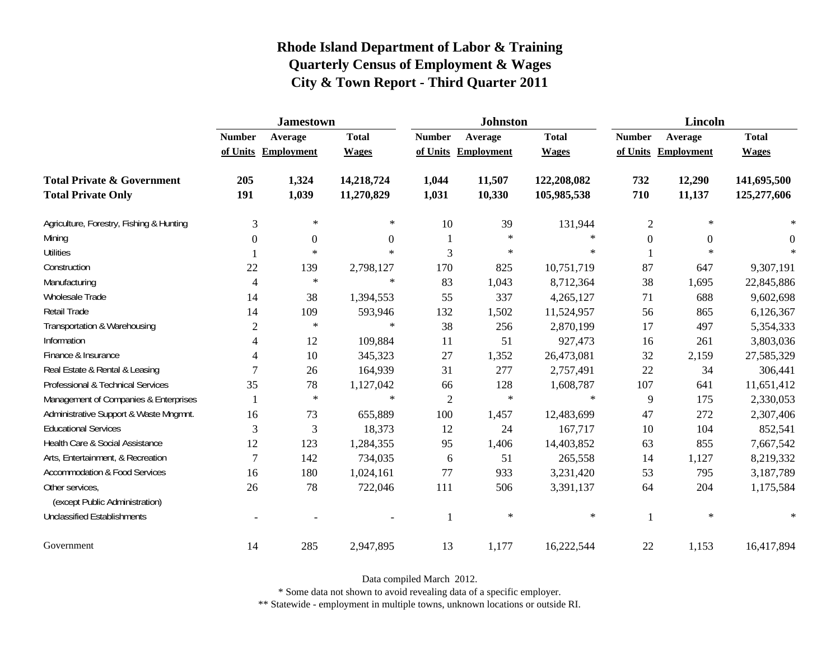|                                                   | <b>Jamestown</b> |                     |                |                | <b>Johnston</b>     |              | <b>Lincoln</b> |                     |              |
|---------------------------------------------------|------------------|---------------------|----------------|----------------|---------------------|--------------|----------------|---------------------|--------------|
|                                                   | <b>Number</b>    | Average             | <b>Total</b>   | <b>Number</b>  | Average             | <b>Total</b> | <b>Number</b>  | Average             | <b>Total</b> |
|                                                   |                  | of Units Employment | <b>Wages</b>   |                | of Units Employment | <b>Wages</b> |                | of Units Employment | <b>Wages</b> |
| <b>Total Private &amp; Government</b>             | 205              | 1,324               | 14,218,724     | 1,044          | 11,507              | 122,208,082  | 732            | 12,290              | 141,695,500  |
| <b>Total Private Only</b>                         | 191              | 1,039               | 11,270,829     | 1,031          | 10,330              | 105,985,538  | 710            | 11,137              | 125,277,606  |
| Agriculture, Forestry, Fishing & Hunting          | 3                | $\ast$              | $\ast$         | 10             | 39                  | 131,944      | $\mathfrak{2}$ | $\ast$              |              |
| Mining                                            | $\Omega$         | $\overline{0}$      | $\overline{0}$ | 1              | $\ast$              | $\ast$       | $\theta$       | $\Omega$            | $\theta$     |
| <b>Utilities</b>                                  |                  | $\ast$              | $\ast$         | 3              | $\ast$              | $\ast$       |                | $\ast$              | 宋            |
| Construction                                      | 22               | 139                 | 2,798,127      | 170            | 825                 | 10,751,719   | 87             | 647                 | 9,307,191    |
| Manufacturing                                     | 4                | $\ast$              | $\ast$         | 83             | 1,043               | 8,712,364    | 38             | 1,695               | 22,845,886   |
| Wholesale Trade                                   | 14               | 38                  | 1,394,553      | 55             | 337                 | 4,265,127    | 71             | 688                 | 9,602,698    |
| Retail Trade                                      | 14               | 109                 | 593,946        | 132            | 1,502               | 11,524,957   | 56             | 865                 | 6,126,367    |
| Transportation & Warehousing                      | $\overline{2}$   | $\ast$              | $\ast$         | 38             | 256                 | 2,870,199    | 17             | 497                 | 5,354,333    |
| Information                                       | 4                | 12                  | 109,884        | 11             | 51                  | 927,473      | 16             | 261                 | 3,803,036    |
| Finance & Insurance                               | 4                | 10                  | 345,323        | 27             | 1,352               | 26,473,081   | 32             | 2,159               | 27,585,329   |
| Real Estate & Rental & Leasing                    | 7                | 26                  | 164,939        | 31             | 277                 | 2,757,491    | 22             | 34                  | 306,441      |
| Professional & Technical Services                 | 35               | 78                  | 1,127,042      | 66             | 128                 | 1,608,787    | 107            | 641                 | 11,651,412   |
| Management of Companies & Enterprises             |                  | $\ast$              | $\ast$         | $\overline{2}$ | $\ast$              | $\ast$       | 9              | 175                 | 2,330,053    |
| Administrative Support & Waste Mngmnt.            | 16               | 73                  | 655,889        | 100            | 1,457               | 12,483,699   | 47             | 272                 | 2,307,406    |
| <b>Educational Services</b>                       | 3                | 3                   | 18,373         | 12             | 24                  | 167,717      | 10             | 104                 | 852,541      |
| Health Care & Social Assistance                   | 12               | 123                 | 1,284,355      | 95             | 1,406               | 14,403,852   | 63             | 855                 | 7,667,542    |
| Arts, Entertainment, & Recreation                 | $\overline{7}$   | 142                 | 734,035        | 6              | 51                  | 265,558      | 14             | 1,127               | 8,219,332    |
| <b>Accommodation &amp; Food Services</b>          | 16               | 180                 | 1,024,161      | 77             | 933                 | 3,231,420    | 53             | 795                 | 3,187,789    |
| Other services,<br>(except Public Administration) | 26               | 78                  | 722,046        | 111            | 506                 | 3,391,137    | 64             | 204                 | 1,175,584    |
| <b>Unclassified Establishments</b>                |                  |                     |                | -1             | $\ast$              | $\ast$       |                | $\ast$              | $\ast$       |
| Government                                        | 14               | 285                 | 2,947,895      | 13             | 1,177               | 16,222,544   | 22             | 1,153               | 16,417,894   |

Data compiled March 2012.

\* Some data not shown to avoid revealing data of a specific employer.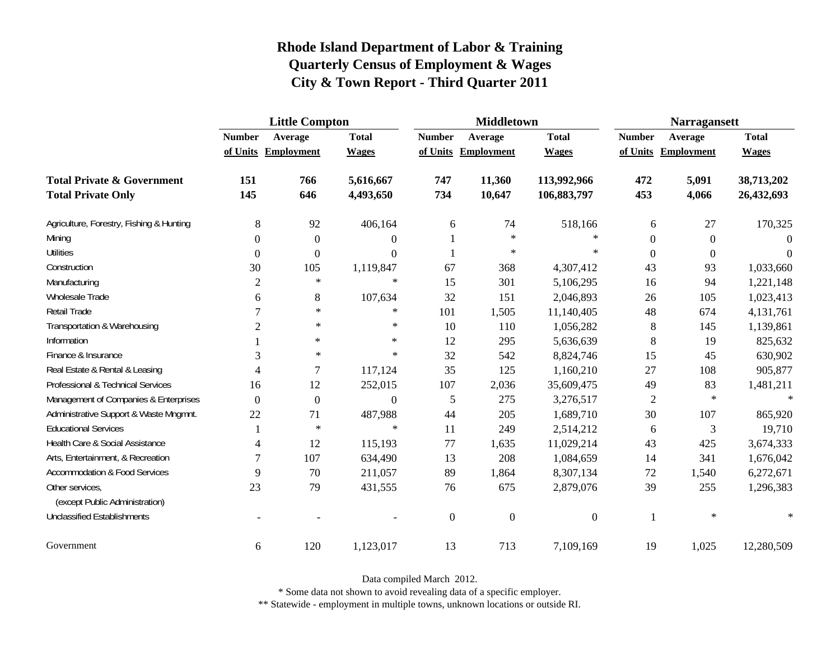|                                                   | <b>Little Compton</b>    |                     |                |               | <b>Middletown</b>   |                | <b>Narragansett</b> |                     |              |
|---------------------------------------------------|--------------------------|---------------------|----------------|---------------|---------------------|----------------|---------------------|---------------------|--------------|
|                                                   | <b>Number</b>            | Average             | <b>Total</b>   | <b>Number</b> | Average             | <b>Total</b>   | <b>Number</b>       | Average             | <b>Total</b> |
|                                                   |                          | of Units Employment | <b>Wages</b>   |               | of Units Employment | <b>Wages</b>   |                     | of Units Employment | <b>Wages</b> |
| <b>Total Private &amp; Government</b>             | 151                      | 766                 | 5,616,667      | 747           | 11,360              | 113,992,966    | 472                 | 5,091               | 38,713,202   |
| <b>Total Private Only</b>                         | 145                      | 646                 | 4,493,650      | 734           | 10,647              | 106,883,797    | 453                 | 4,066               | 26,432,693   |
| Agriculture, Forestry, Fishing & Hunting          | $\,8\,$                  | 92                  | 406,164        | 6             | 74                  | 518,166        | 6                   | 27                  | 170,325      |
| Mining                                            | $\boldsymbol{0}$         | $\boldsymbol{0}$    | $\Omega$       |               | $\ast$              | $\ast$         | $\boldsymbol{0}$    | $\overline{0}$      | $\Omega$     |
| <b>Utilities</b>                                  | $\boldsymbol{0}$         | $\theta$            | $\overline{0}$ |               | $\ast$              | $\ast$         | $\overline{0}$      | $\boldsymbol{0}$    | $\Omega$     |
| Construction                                      | 30                       | 105                 | 1,119,847      | 67            | 368                 | 4,307,412      | 43                  | 93                  | 1,033,660    |
| Manufacturing                                     | $\mathfrak{2}$           | $\ast$              | $\ast$         | 15            | 301                 | 5,106,295      | 16                  | 94                  | 1,221,148    |
| Wholesale Trade                                   | 6                        | 8                   | 107,634        | 32            | 151                 | 2,046,893      | 26                  | 105                 | 1,023,413    |
| <b>Retail Trade</b>                               | 7                        | $\ast$              | $\ast$         | 101           | 1,505               | 11,140,405     | 48                  | 674                 | 4,131,761    |
| Transportation & Warehousing                      | $\overline{c}$           | $\ast$              | $\ast$         | 10            | 110                 | 1,056,282      | $8\phantom{1}$      | 145                 | 1,139,861    |
| Information                                       |                          | $\ast$              | $\ast$         | 12            | 295                 | 5,636,639      | 8                   | 19                  | 825,632      |
| Finance & Insurance                               | 3                        | $\ast$              | $\ast$         | 32            | 542                 | 8,824,746      | 15                  | 45                  | 630,902      |
| Real Estate & Rental & Leasing                    | $\overline{4}$           | 7                   | 117,124        | 35            | 125                 | 1,160,210      | 27                  | 108                 | 905,877      |
| Professional & Technical Services                 | 16                       | 12                  | 252,015        | 107           | 2,036               | 35,609,475     | 49                  | 83                  | 1,481,211    |
| Management of Companies & Enterprises             | $\Omega$                 | $\Omega$            | $\Omega$       | 5             | 275                 | 3,276,517      | $\overline{2}$      | $\ast$              | $\ast$       |
| Administrative Support & Waste Mngmnt.            | 22                       | 71                  | 487,988        | 44            | 205                 | 1,689,710      | 30                  | 107                 | 865,920      |
| <b>Educational Services</b>                       |                          | $\ast$              | $\ast$         | 11            | 249                 | 2,514,212      | 6                   | 3                   | 19,710       |
| Health Care & Social Assistance                   | $\overline{\mathcal{A}}$ | 12                  | 115,193        | 77            | 1,635               | 11,029,214     | 43                  | 425                 | 3,674,333    |
| Arts, Entertainment, & Recreation                 | 7                        | 107                 | 634,490        | 13            | 208                 | 1,084,659      | 14                  | 341                 | 1,676,042    |
| <b>Accommodation &amp; Food Services</b>          | 9                        | 70                  | 211,057        | 89            | 1,864               | 8,307,134      | 72                  | 1,540               | 6,272,671    |
| Other services,<br>(except Public Administration) | 23                       | 79                  | 431,555        | 76            | 675                 | 2,879,076      | 39                  | 255                 | 1,296,383    |
| <b>Unclassified Establishments</b>                |                          |                     |                | $\mathbf{0}$  | $\overline{0}$      | $\overline{0}$ | $\mathbf{1}$        | $\ast$              | $\ast$       |
| Government                                        | 6                        | 120                 | 1,123,017      | 13            | 713                 | 7,109,169      | 19                  | 1,025               | 12,280,509   |

Data compiled March 2012.

\* Some data not shown to avoid revealing data of a specific employer.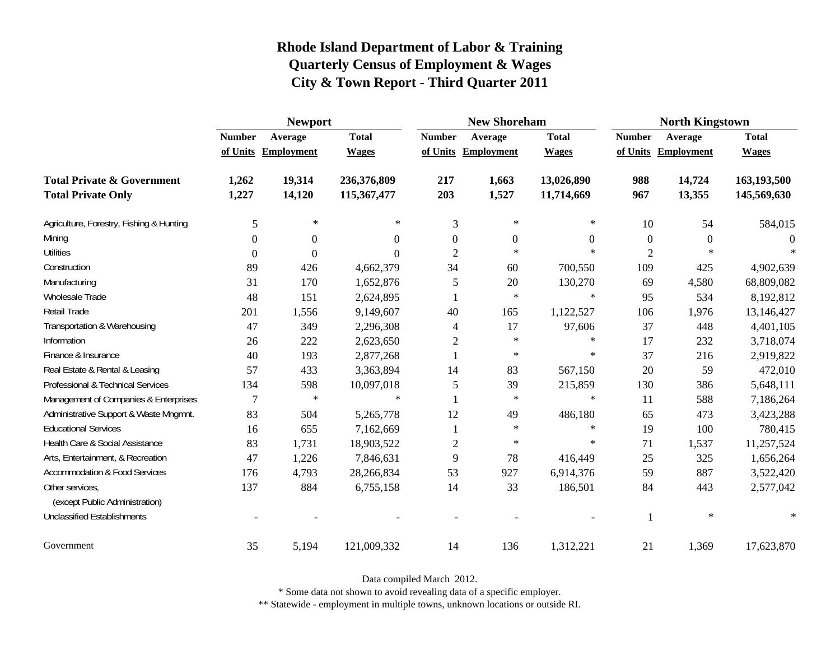|                                          | <b>Newport</b> |                     |              |                | <b>New Shoreham</b> |                | <b>North Kingstown</b> |                     |              |
|------------------------------------------|----------------|---------------------|--------------|----------------|---------------------|----------------|------------------------|---------------------|--------------|
|                                          | <b>Number</b>  | Average             | <b>Total</b> | <b>Number</b>  | Average             | <b>Total</b>   | <b>Number</b>          | Average             | <b>Total</b> |
|                                          |                | of Units Employment | <b>Wages</b> |                | of Units Employment | <b>Wages</b>   |                        | of Units Employment | <b>Wages</b> |
| <b>Total Private &amp; Government</b>    | 1,262          | 19,314              | 236,376,809  | 217            | 1,663               | 13,026,890     | 988                    | 14,724              | 163,193,500  |
| <b>Total Private Only</b>                | 1,227          | 14,120              | 115,367,477  | 203            | 1,527               | 11,714,669     | 967                    | 13,355              | 145,569,630  |
| Agriculture, Forestry, Fishing & Hunting | 5              | $\ast$              | $\ast$       | 3              | $\ast$              | ∗              | 10                     | 54                  | 584,015      |
| Mining                                   | $\Omega$       | $\Omega$            | $\Omega$     | $\Omega$       | $\mathbf{0}$        | $\overline{0}$ | $\overline{0}$         | $\theta$            | $\Omega$     |
| <b>Utilities</b>                         | $\Omega$       | $\Omega$            | 0            | $\overline{2}$ | $*$                 | $\ast$         | $\overline{2}$         | $\ast$              |              |
| Construction                             | 89             | 426                 | 4,662,379    | 34             | 60                  | 700,550        | 109                    | 425                 | 4,902,639    |
| Manufacturing                            | 31             | 170                 | 1,652,876    | 5              | 20                  | 130,270        | 69                     | 4,580               | 68,809,082   |
| Wholesale Trade                          | 48             | 151                 | 2,624,895    |                | $\ast$              | $\ast$         | 95                     | 534                 | 8,192,812    |
| Retail Trade                             | 201            | 1,556               | 9,149,607    | 40             | 165                 | 1,122,527      | 106                    | 1,976               | 13,146,427   |
| Transportation & Warehousing             | 47             | 349                 | 2,296,308    | 4              | 17                  | 97,606         | 37                     | 448                 | 4,401,105    |
| Information                              | 26             | 222                 | 2,623,650    | $\mathfrak{2}$ | $\ast$              | ∗              | 17                     | 232                 | 3,718,074    |
| Finance & Insurance                      | 40             | 193                 | 2,877,268    |                | $\ast$              | ∗              | 37                     | 216                 | 2,919,822    |
| Real Estate & Rental & Leasing           | 57             | 433                 | 3,363,894    | 14             | 83                  | 567,150        | 20                     | 59                  | 472,010      |
| Professional & Technical Services        | 134            | 598                 | 10,097,018   | 5              | 39                  | 215,859        | 130                    | 386                 | 5,648,111    |
| Management of Companies & Enterprises    | 7              | $\ast$              | $\ast$       |                | $\ast$              | $\ast$         | 11                     | 588                 | 7,186,264    |
| Administrative Support & Waste Mngmnt.   | 83             | 504                 | 5,265,778    | 12             | 49                  | 486,180        | 65                     | 473                 | 3,423,288    |
| <b>Educational Services</b>              | 16             | 655                 | 7,162,669    |                | $\ast$              | $\ast$         | 19                     | 100                 | 780,415      |
| Health Care & Social Assistance          | 83             | 1,731               | 18,903,522   | $\mathfrak{2}$ | $\ast$              | $\ast$         | 71                     | 1,537               | 11,257,524   |
| Arts, Entertainment, & Recreation        | 47             | 1,226               | 7,846,631    | 9              | 78                  | 416,449        | 25                     | 325                 | 1,656,264    |
| <b>Accommodation &amp; Food Services</b> | 176            | 4,793               | 28,266,834   | 53             | 927                 | 6,914,376      | 59                     | 887                 | 3,522,420    |
| Other services,                          | 137            | 884                 | 6,755,158    | 14             | 33                  | 186,501        | 84                     | 443                 | 2,577,042    |
| (except Public Administration)           |                |                     |              |                |                     |                |                        |                     |              |
| <b>Unclassified Establishments</b>       |                |                     |              |                |                     |                |                        | $\ast$              | $\ast$       |
| Government                               | 35             | 5,194               | 121,009,332  | 14             | 136                 | 1,312,221      | 21                     | 1,369               | 17,623,870   |

Data compiled March 2012.

\* Some data not shown to avoid revealing data of a specific employer.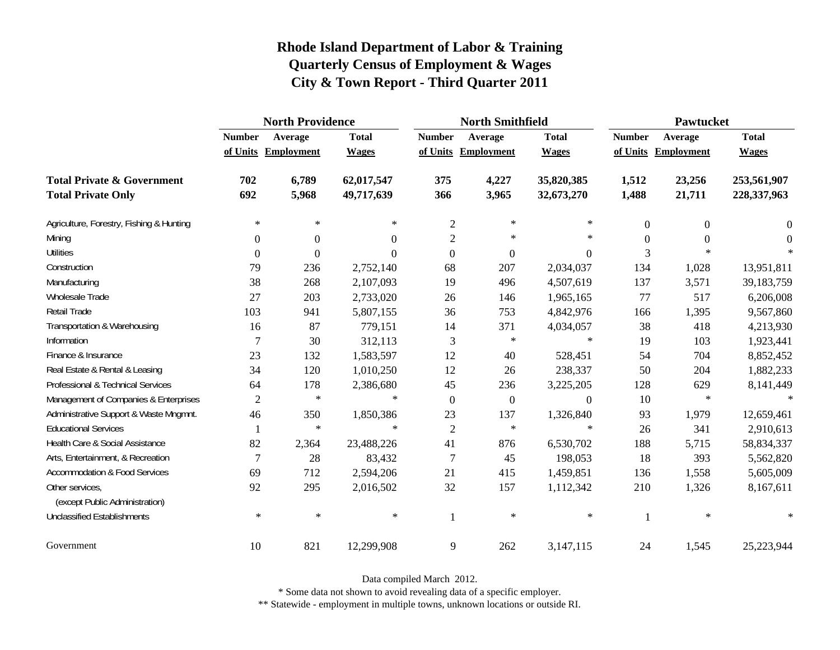|                                                   | <b>North Providence</b> |                     |              |                | <b>North Smithfield</b> |                  | <b>Pawtucket</b> |                     |              |
|---------------------------------------------------|-------------------------|---------------------|--------------|----------------|-------------------------|------------------|------------------|---------------------|--------------|
|                                                   | <b>Number</b>           | Average             | <b>Total</b> | <b>Number</b>  | Average                 | <b>Total</b>     | <b>Number</b>    | Average             | <b>Total</b> |
|                                                   |                         | of Units Employment | <b>Wages</b> |                | of Units Employment     | <b>Wages</b>     |                  | of Units Employment | <b>Wages</b> |
| <b>Total Private &amp; Government</b>             | 702                     | 6,789               | 62,017,547   | 375            | 4,227                   | 35,820,385       | 1,512            | 23,256              | 253,561,907  |
| <b>Total Private Only</b>                         | 692                     | 5,968               | 49,717,639   | 366            | 3,965                   | 32,673,270       | 1,488            | 21,711              | 228,337,963  |
| Agriculture, Forestry, Fishing & Hunting          | $\ast$                  | $\ast$              | $\ast$       | $\mathfrak{2}$ | ∗                       | $\ast$           | $\Omega$         | $\theta$            | $\theta$     |
| Mining                                            | $\overline{0}$          | $\Omega$            | $\Omega$     | $\overline{c}$ | ∗                       | $\ast$           | $\Omega$         | $\Omega$            | $\Omega$     |
| <b>Utilities</b>                                  | $\boldsymbol{0}$        | $\theta$            | $\Omega$     | $\overline{0}$ | $\overline{0}$          | $\overline{0}$   | $\overline{3}$   | $\ast$              |              |
| Construction                                      | 79                      | 236                 | 2,752,140    | 68             | 207                     | 2,034,037        | 134              | 1,028               | 13,951,811   |
| Manufacturing                                     | 38                      | 268                 | 2,107,093    | 19             | 496                     | 4,507,619        | 137              | 3,571               | 39,183,759   |
| <b>Wholesale Trade</b>                            | 27                      | 203                 | 2,733,020    | 26             | 146                     | 1,965,165        | 77               | 517                 | 6,206,008    |
| Retail Trade                                      | 103                     | 941                 | 5,807,155    | 36             | 753                     | 4,842,976        | 166              | 1,395               | 9,567,860    |
| Transportation & Warehousing                      | 16                      | 87                  | 779,151      | 14             | 371                     | 4,034,057        | 38               | 418                 | 4,213,930    |
| Information                                       | $\overline{7}$          | 30                  | 312,113      | 3              | $\ast$                  | $\ast$           | 19               | 103                 | 1,923,441    |
| Finance & Insurance                               | 23                      | 132                 | 1,583,597    | 12             | 40                      | 528,451          | 54               | 704                 | 8,852,452    |
| Real Estate & Rental & Leasing                    | 34                      | 120                 | 1,010,250    | 12             | 26                      | 238,337          | 50               | 204                 | 1,882,233    |
| Professional & Technical Services                 | 64                      | 178                 | 2,386,680    | 45             | 236                     | 3,225,205        | 128              | 629                 | 8,141,449    |
| Management of Companies & Enterprises             | $\mathfrak{2}$          | $\ast$              | $\ast$       | $\theta$       | $\boldsymbol{0}$        | $\boldsymbol{0}$ | 10               | $\ast$              | $\ast$       |
| Administrative Support & Waste Mngmnt.            | 46                      | 350                 | 1,850,386    | 23             | 137                     | 1,326,840        | 93               | 1,979               | 12,659,461   |
| <b>Educational Services</b>                       |                         | $\ast$              | $\ast$       | $\overline{2}$ | $\ast$                  | $\ast$           | 26               | 341                 | 2,910,613    |
| Health Care & Social Assistance                   | 82                      | 2,364               | 23,488,226   | 41             | 876                     | 6,530,702        | 188              | 5,715               | 58,834,337   |
| Arts, Entertainment, & Recreation                 | 7                       | 28                  | 83,432       | $\overline{7}$ | 45                      | 198,053          | 18               | 393                 | 5,562,820    |
| <b>Accommodation &amp; Food Services</b>          | 69                      | 712                 | 2,594,206    | 21             | 415                     | 1,459,851        | 136              | 1,558               | 5,605,009    |
| Other services,<br>(except Public Administration) | 92                      | 295                 | 2,016,502    | 32             | 157                     | 1,112,342        | 210              | 1,326               | 8,167,611    |
| <b>Unclassified Establishments</b>                | $\ast$                  | $\ast$              | $\ast$       | $\mathbf{1}$   | $\ast$                  | $\ast$           |                  | $\ast$              | $\ast$       |
| Government                                        | 10                      | 821                 | 12,299,908   | 9              | 262                     | 3,147,115        | 24               | 1,545               | 25,223,944   |

Data compiled March 2012.

\* Some data not shown to avoid revealing data of a specific employer.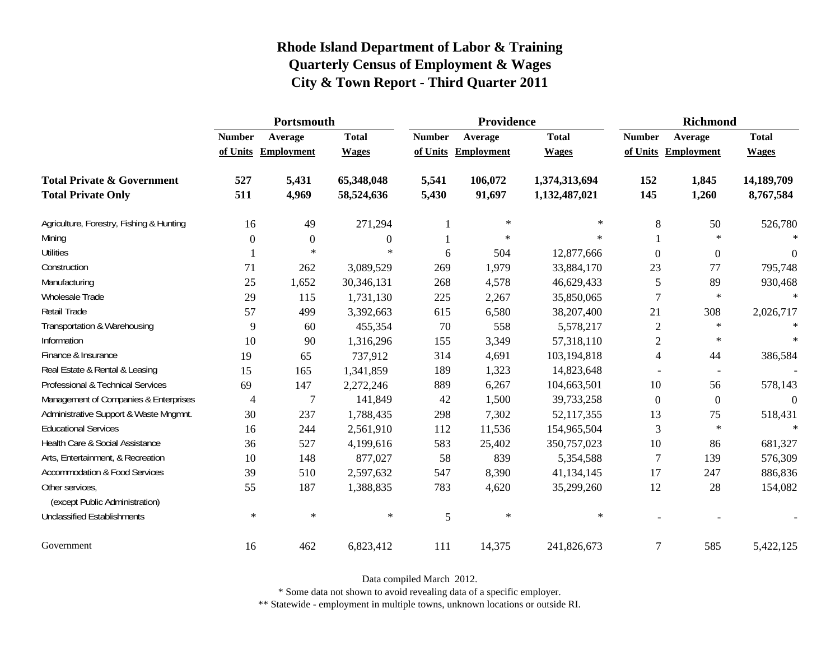|                                                   | Portsmouth    |                     |                |               | Providence          |               | <b>Richmond</b> |                     |              |
|---------------------------------------------------|---------------|---------------------|----------------|---------------|---------------------|---------------|-----------------|---------------------|--------------|
|                                                   | <b>Number</b> | Average             | <b>Total</b>   | <b>Number</b> | Average             | <b>Total</b>  | <b>Number</b>   | Average             | <b>Total</b> |
|                                                   |               | of Units Employment | <b>Wages</b>   |               | of Units Employment | <b>Wages</b>  |                 | of Units Employment | <b>Wages</b> |
| <b>Total Private &amp; Government</b>             | 527           | 5,431               | 65,348,048     | 5,541         | 106,072             | 1,374,313,694 | 152             | 1,845               | 14,189,709   |
| <b>Total Private Only</b>                         | 511           | 4,969               | 58,524,636     | 5,430         | 91,697              | 1,132,487,021 | 145             | 1,260               | 8,767,584    |
| Agriculture, Forestry, Fishing & Hunting          | 16            | 49                  | 271,294        |               | $\ast$              | $\ast$        | 8               | 50                  | 526,780      |
| Mining                                            | $\Omega$      | $\theta$            | $\overline{0}$ |               | $\ast$              | $\ast$        |                 | $\ast$              | 宋            |
| <b>Utilities</b>                                  |               | $\ast$              | $\ast$         | 6             | 504                 | 12,877,666    | $\Omega$        | $\boldsymbol{0}$    | $\Omega$     |
| Construction                                      | 71            | 262                 | 3,089,529      | 269           | 1,979               | 33,884,170    | 23              | 77                  | 795,748      |
| Manufacturing                                     | 25            | 1,652               | 30,346,131     | 268           | 4,578               | 46,629,433    | 5               | 89                  | 930,468      |
| Wholesale Trade                                   | 29            | 115                 | 1,731,130      | 225           | 2,267               | 35,850,065    | $\overline{7}$  | $\ast$              | $\star$      |
| Retail Trade                                      | 57            | 499                 | 3,392,663      | 615           | 6,580               | 38,207,400    | 21              | 308                 | 2,026,717    |
| Transportation & Warehousing                      | 9             | 60                  | 455,354        | 70            | 558                 | 5,578,217     | $\overline{c}$  | $\ast$              | $\ast$       |
| Information                                       | 10            | 90                  | 1,316,296      | 155           | 3,349               | 57,318,110    | $\overline{2}$  | $\ast$              |              |
| Finance & Insurance                               | 19            | 65                  | 737,912        | 314           | 4,691               | 103,194,818   | 4               | 44                  | 386,584      |
| Real Estate & Rental & Leasing                    | 15            | 165                 | 1,341,859      | 189           | 1,323               | 14,823,648    |                 |                     |              |
| Professional & Technical Services                 | 69            | 147                 | 2,272,246      | 889           | 6,267               | 104,663,501   | 10              | 56                  | 578,143      |
| Management of Companies & Enterprises             | 4             | $\overline{7}$      | 141,849        | 42            | 1,500               | 39,733,258    | $\Omega$        | $\overline{0}$      | $\Omega$     |
| Administrative Support & Waste Mngmnt.            | 30            | 237                 | 1,788,435      | 298           | 7,302               | 52,117,355    | 13              | 75                  | 518,431      |
| <b>Educational Services</b>                       | 16            | 244                 | 2,561,910      | 112           | 11,536              | 154,965,504   | 3               | $\star$             |              |
| Health Care & Social Assistance                   | 36            | 527                 | 4,199,616      | 583           | 25,402              | 350,757,023   | 10              | 86                  | 681,327      |
| Arts, Entertainment, & Recreation                 | 10            | 148                 | 877,027        | 58            | 839                 | 5,354,588     | $\overline{7}$  | 139                 | 576,309      |
| <b>Accommodation &amp; Food Services</b>          | 39            | 510                 | 2,597,632      | 547           | 8,390               | 41,134,145    | 17              | 247                 | 886,836      |
| Other services,<br>(except Public Administration) | 55            | 187                 | 1,388,835      | 783           | 4,620               | 35,299,260    | 12              | 28                  | 154,082      |
| <b>Unclassified Establishments</b>                | $\ast$        | $\ast$              | $\ast$         | 5             | $\ast$              | $\ast$        |                 |                     |              |
| Government                                        | 16            | 462                 | 6,823,412      | 111           | 14,375              | 241,826,673   | $\overline{7}$  | 585                 | 5,422,125    |

Data compiled March 2012.

\* Some data not shown to avoid revealing data of a specific employer.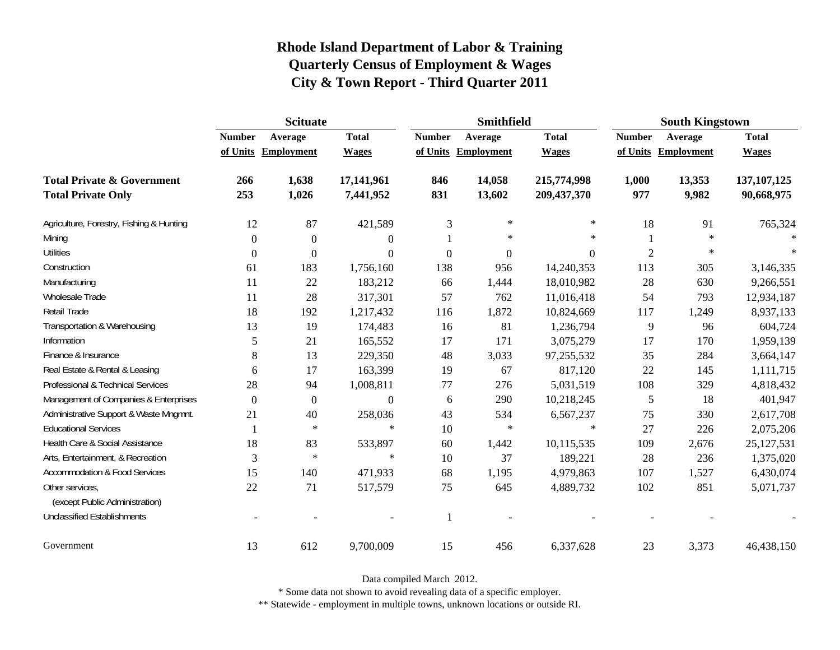|                                                   | <b>Scituate</b> |                     |                  |                  | <b>Smithfield</b> |                  | <b>South Kingstown</b> |            |               |
|---------------------------------------------------|-----------------|---------------------|------------------|------------------|-------------------|------------------|------------------------|------------|---------------|
|                                                   | <b>Number</b>   | Average             | <b>Total</b>     | <b>Number</b>    | Average           | <b>Total</b>     | <b>Number</b>          | Average    | <b>Total</b>  |
|                                                   |                 | of Units Employment | <b>Wages</b>     | of Units         | Employment        | <b>Wages</b>     | of Units               | Employment | <b>Wages</b>  |
| <b>Total Private &amp; Government</b>             | 266             | 1,638               | 17,141,961       | 846              | 14,058            | 215,774,998      | 1,000                  | 13,353     | 137, 107, 125 |
| <b>Total Private Only</b>                         | 253             | 1,026               | 7,441,952        | 831              | 13,602            | 209, 437, 370    | 977                    | 9,982      | 90,668,975    |
| Agriculture, Forestry, Fishing & Hunting          | 12              | 87                  | 421,589          | 3                | $\ast$            | $\ast$           | 18                     | 91         | 765,324       |
| Mining                                            | $\Omega$        | $\Omega$            | $\theta$         |                  | $\ast$            | $\ast$           |                        | $\ast$     |               |
| <b>Utilities</b>                                  | $\mathbf{0}$    | $\Omega$            | $\boldsymbol{0}$ | $\boldsymbol{0}$ | $\boldsymbol{0}$  | $\boldsymbol{0}$ | $\overline{2}$         | $\ast$     | $\ast$        |
| Construction                                      | 61              | 183                 | 1,756,160        | 138              | 956               | 14,240,353       | 113                    | 305        | 3,146,335     |
| Manufacturing                                     | 11              | 22                  | 183,212          | 66               | 1,444             | 18,010,982       | 28                     | 630        | 9,266,551     |
| Wholesale Trade                                   | 11              | 28                  | 317,301          | 57               | 762               | 11,016,418       | 54                     | 793        | 12,934,187    |
| Retail Trade                                      | 18              | 192                 | 1,217,432        | 116              | 1,872             | 10,824,669       | 117                    | 1,249      | 8,937,133     |
| Transportation & Warehousing                      | 13              | 19                  | 174,483          | 16               | 81                | 1,236,794        | 9                      | 96         | 604,724       |
| Information                                       | 5               | 21                  | 165,552          | 17               | 171               | 3,075,279        | 17                     | 170        | 1,959,139     |
| Finance & Insurance                               | 8               | 13                  | 229,350          | 48               | 3,033             | 97,255,532       | 35                     | 284        | 3,664,147     |
| Real Estate & Rental & Leasing                    | 6               | 17                  | 163,399          | 19               | 67                | 817,120          | 22                     | 145        | 1,111,715     |
| Professional & Technical Services                 | 28              | 94                  | 1,008,811        | $77 \,$          | 276               | 5,031,519        | 108                    | 329        | 4,818,432     |
| Management of Companies & Enterprises             | $\Omega$        | $\theta$            | $\boldsymbol{0}$ | 6                | 290               | 10,218,245       | 5                      | 18         | 401,947       |
| Administrative Support & Waste Mngmnt.            | 21              | 40                  | 258,036          | 43               | 534               | 6,567,237        | 75                     | 330        | 2,617,708     |
| <b>Educational Services</b>                       |                 | $\ast$              | $\ast$           | 10               | $\ast$            | $\ast$           | 27                     | 226        | 2,075,206     |
| Health Care & Social Assistance                   | 18              | 83                  | 533,897          | 60               | 1,442             | 10,115,535       | 109                    | 2,676      | 25, 127, 531  |
| Arts, Entertainment, & Recreation                 | 3               | $\ast$              | $\ast$           | 10               | 37                | 189,221          | 28                     | 236        | 1,375,020     |
| <b>Accommodation &amp; Food Services</b>          | 15              | 140                 | 471,933          | 68               | 1,195             | 4,979,863        | 107                    | 1,527      | 6,430,074     |
| Other services,<br>(except Public Administration) | 22              | 71                  | 517,579          | 75               | 645               | 4,889,732        | 102                    | 851        | 5,071,737     |
| <b>Unclassified Establishments</b>                |                 |                     |                  | -1               |                   |                  |                        |            |               |
| Government                                        | 13              | 612                 | 9,700,009        | 15               | 456               | 6,337,628        | 23                     | 3,373      | 46,438,150    |

Data compiled March 2012.

\* Some data not shown to avoid revealing data of a specific employer.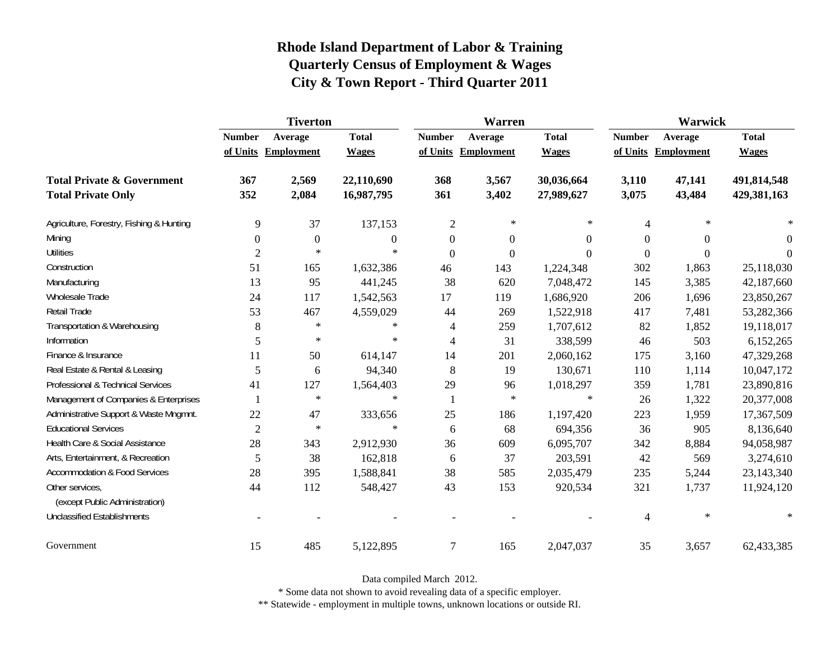|                                                   | <b>Tiverton</b>  |                     |                |                | Warren              |                  | Warwick        |                     |              |  |
|---------------------------------------------------|------------------|---------------------|----------------|----------------|---------------------|------------------|----------------|---------------------|--------------|--|
|                                                   | <b>Number</b>    | Average             | <b>Total</b>   | <b>Number</b>  | Average             | <b>Total</b>     | <b>Number</b>  | Average             | <b>Total</b> |  |
|                                                   |                  | of Units Employment | <b>Wages</b>   |                | of Units Employment | <b>Wages</b>     |                | of Units Employment | <b>Wages</b> |  |
| <b>Total Private &amp; Government</b>             | 367              | 2,569               | 22,110,690     | 368            | 3,567               | 30,036,664       | 3,110          | 47,141              | 491,814,548  |  |
| <b>Total Private Only</b>                         | 352              | 2,084               | 16,987,795     | 361            | 3,402               | 27,989,627       | 3,075          | 43,484              | 429,381,163  |  |
| Agriculture, Forestry, Fishing & Hunting          | 9                | 37                  | 137,153        | $\mathfrak{2}$ | ∗                   | ∗                | 4              | $\ast$              |              |  |
| Mining                                            | $\boldsymbol{0}$ | $\mathbf{0}$        | $\overline{0}$ | $\mathbf{0}$   | $\boldsymbol{0}$    | $\theta$         | $\theta$       | $\Omega$            | $\Omega$     |  |
| <b>Utilities</b>                                  | $\overline{2}$   | $\ast$              | $\ast$         | $\overline{0}$ | $\boldsymbol{0}$    | $\boldsymbol{0}$ | $\Omega$       | $\boldsymbol{0}$    | $\theta$     |  |
| Construction                                      | 51               | 165                 | 1,632,386      | 46             | 143                 | 1,224,348        | 302            | 1,863               | 25,118,030   |  |
| Manufacturing                                     | 13               | 95                  | 441,245        | 38             | 620                 | 7,048,472        | 145            | 3,385               | 42,187,660   |  |
| Wholesale Trade                                   | 24               | 117                 | 1,542,563      | 17             | 119                 | 1,686,920        | 206            | 1,696               | 23,850,267   |  |
| Retail Trade                                      | 53               | 467                 | 4,559,029      | 44             | 269                 | 1,522,918        | 417            | 7,481               | 53,282,366   |  |
| Transportation & Warehousing                      | $8\,$            | $\ast$              | $\ast$         | $\overline{4}$ | 259                 | 1,707,612        | 82             | 1,852               | 19,118,017   |  |
| Information                                       | 5                | $\ast$              | $\ast$         | $\overline{4}$ | 31                  | 338,599          | 46             | 503                 | 6,152,265    |  |
| Finance & Insurance                               | 11               | 50                  | 614,147        | 14             | 201                 | 2,060,162        | 175            | 3,160               | 47,329,268   |  |
| Real Estate & Rental & Leasing                    | 5                | 6                   | 94,340         | $8\phantom{1}$ | 19                  | 130,671          | 110            | 1,114               | 10,047,172   |  |
| Professional & Technical Services                 | 41               | 127                 | 1,564,403      | 29             | 96                  | 1,018,297        | 359            | 1,781               | 23,890,816   |  |
| Management of Companies & Enterprises             |                  | $\ast$              | $\ast$         | -1             | $\ast$              | $\ast$           | 26             | 1,322               | 20,377,008   |  |
| Administrative Support & Waste Mngmnt.            | 22               | 47                  | 333,656        | 25             | 186                 | 1,197,420        | 223            | 1,959               | 17,367,509   |  |
| <b>Educational Services</b>                       | $\overline{2}$   | $\ast$              | $\ast$         | 6              | 68                  | 694,356          | 36             | 905                 | 8,136,640    |  |
| Health Care & Social Assistance                   | 28               | 343                 | 2,912,930      | 36             | 609                 | 6,095,707        | 342            | 8,884               | 94,058,987   |  |
| Arts, Entertainment, & Recreation                 | 5                | 38                  | 162,818        | 6              | 37                  | 203,591          | 42             | 569                 | 3,274,610    |  |
| <b>Accommodation &amp; Food Services</b>          | 28               | 395                 | 1,588,841      | 38             | 585                 | 2,035,479        | 235            | 5,244               | 23,143,340   |  |
| Other services,<br>(except Public Administration) | 44               | 112                 | 548,427        | 43             | 153                 | 920,534          | 321            | 1,737               | 11,924,120   |  |
| <b>Unclassified Establishments</b>                |                  |                     |                |                |                     |                  | $\overline{4}$ | $\ast$              | $\ast$       |  |
| Government                                        | 15               | 485                 | 5,122,895      | $\overline{7}$ | 165                 | 2,047,037        | 35             | 3,657               | 62,433,385   |  |

Data compiled March 2012.

\* Some data not shown to avoid revealing data of a specific employer.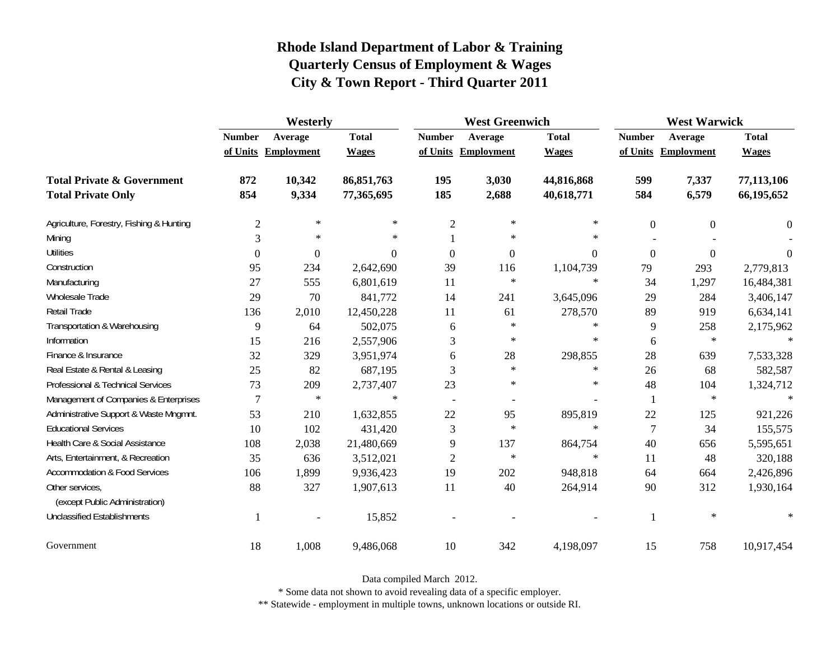|                                                   | Westerly                 |                     |              | <b>West Greenwich</b>    |                     |              | <b>West Warwick</b> |                     |              |
|---------------------------------------------------|--------------------------|---------------------|--------------|--------------------------|---------------------|--------------|---------------------|---------------------|--------------|
|                                                   | <b>Number</b><br>Average |                     | <b>Total</b> | <b>Number</b><br>Average |                     | <b>Total</b> | <b>Number</b>       | Average             | <b>Total</b> |
|                                                   |                          | of Units Employment | <b>Wages</b> |                          | of Units Employment | <b>Wages</b> |                     | of Units Employment | <b>Wages</b> |
| <b>Total Private &amp; Government</b>             | 872                      | 10,342              | 86,851,763   | 195                      | 3,030               | 44,816,868   | 599                 | 7,337               | 77,113,106   |
| <b>Total Private Only</b>                         | 854                      | 9,334               | 77,365,695   | 185                      | 2,688               | 40,618,771   | 584                 | 6,579               | 66,195,652   |
| Agriculture, Forestry, Fishing & Hunting          | $\mathfrak{2}$           | $\ast$              | $\ast$       | $\overline{2}$           | ∗                   | $*$          | $\boldsymbol{0}$    | $\overline{0}$      | $\theta$     |
| Mining                                            | 3                        | $\ast$              | $\ast$       |                          | ∗                   | $\ast$       |                     |                     |              |
| <b>Utilities</b>                                  | $\theta$                 | $\theta$            | $\Omega$     | $\overline{0}$           | $\boldsymbol{0}$    | $\Omega$     | $\overline{0}$      | $\theta$            | $\theta$     |
| Construction                                      | 95                       | 234                 | 2,642,690    | 39                       | 116                 | 1,104,739    | 79                  | 293                 | 2,779,813    |
| Manufacturing                                     | 27                       | 555                 | 6,801,619    | 11                       | $\ast$              | $\ast$       | 34                  | 1,297               | 16,484,381   |
| <b>Wholesale Trade</b>                            | 29                       | 70                  | 841,772      | 14                       | 241                 | 3,645,096    | 29                  | 284                 | 3,406,147    |
| Retail Trade                                      | 136                      | 2,010               | 12,450,228   | 11                       | 61                  | 278,570      | 89                  | 919                 | 6,634,141    |
| Transportation & Warehousing                      | 9                        | 64                  | 502,075      | 6                        | $\ast$              | $\ast$       | 9                   | 258                 | 2,175,962    |
| Information                                       | 15                       | 216                 | 2,557,906    | 3                        | ∗                   | $\ast$       | 6                   | $\ast$              | $\ast$       |
| Finance & Insurance                               | 32                       | 329                 | 3,951,974    | 6                        | 28                  | 298,855      | 28                  | 639                 | 7,533,328    |
| Real Estate & Rental & Leasing                    | 25                       | 82                  | 687,195      | 3                        | $\ast$              | $\ast$       | 26                  | 68                  | 582,587      |
| Professional & Technical Services                 | 73                       | 209                 | 2,737,407    | 23                       | $\ast$              | $\ast$       | 48                  | 104                 | 1,324,712    |
| Management of Companies & Enterprises             | $\overline{7}$           | $\ast$              | $\ast$       | $\overline{\phantom{a}}$ |                     |              | 1                   | $\ast$              | $\ast$       |
| Administrative Support & Waste Mngmnt.            | 53                       | 210                 | 1,632,855    | 22                       | 95                  | 895,819      | 22                  | 125                 | 921,226      |
| <b>Educational Services</b>                       | 10                       | 102                 | 431,420      | 3                        | $\ast$              | $\ast$       | $\overline{7}$      | 34                  | 155,575      |
| Health Care & Social Assistance                   | 108                      | 2,038               | 21,480,669   | 9                        | 137                 | 864,754      | 40                  | 656                 | 5,595,651    |
| Arts, Entertainment, & Recreation                 | 35                       | 636                 | 3,512,021    | $\overline{2}$           | ∗                   | $\ast$       | 11                  | 48                  | 320,188      |
| <b>Accommodation &amp; Food Services</b>          | 106                      | 1,899               | 9,936,423    | 19                       | 202                 | 948,818      | 64                  | 664                 | 2,426,896    |
| Other services,<br>(except Public Administration) | 88                       | 327                 | 1,907,613    | 11                       | 40                  | 264,914      | 90                  | 312                 | 1,930,164    |
| <b>Unclassified Establishments</b>                |                          |                     | 15,852       |                          |                     |              | 1                   | $\ast$              | $\ast$       |
| Government                                        | 18                       | 1,008               | 9,486,068    | 10                       | 342                 | 4,198,097    | 15                  | 758                 | 10,917,454   |

Data compiled March 2012.

\* Some data not shown to avoid revealing data of a specific employer.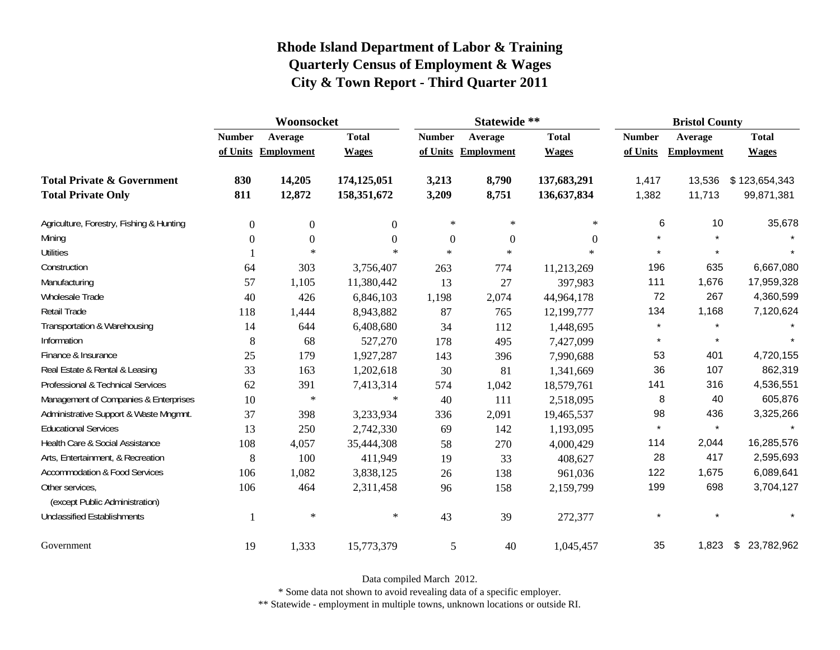|                                                   | Woonsocket    |                     |              |                  | Statewide **        |                  |               | <b>Bristol County</b> |                  |  |
|---------------------------------------------------|---------------|---------------------|--------------|------------------|---------------------|------------------|---------------|-----------------------|------------------|--|
|                                                   | <b>Number</b> | Average             | <b>Total</b> | <b>Number</b>    | Average             | <b>Total</b>     | <b>Number</b> | Average               | <b>Total</b>     |  |
|                                                   |               | of Units Employment | <b>Wages</b> |                  | of Units Employment | <b>Wages</b>     | of Units      | <b>Employment</b>     | <b>Wages</b>     |  |
| <b>Total Private &amp; Government</b>             | 830           | 14,205              | 174,125,051  | 3,213            | 8,790               | 137,683,291      | 1,417         | 13,536                | \$123,654,343    |  |
| <b>Total Private Only</b>                         | 811           | 12,872              | 158,351,672  | 3,209            | 8,751               | 136,637,834      | 1,382         | 11,713                | 99,871,381       |  |
| Agriculture, Forestry, Fishing & Hunting          | $\Omega$      | $\mathbf{0}$        | $\Omega$     | $\ast$           | $\ast$              | $\ast$           | 6             | 10                    | 35,678           |  |
| Mining                                            | $\Omega$      | $\mathbf{0}$        | $\Omega$     | $\boldsymbol{0}$ | $\boldsymbol{0}$    | $\boldsymbol{0}$ |               |                       |                  |  |
| Utilities                                         |               | $\ast$              | $\ast$       | $\ast$           | $\ast$              | $\ast$           |               |                       |                  |  |
| Construction                                      | 64            | 303                 | 3,756,407    | 263              | 774                 | 11,213,269       | 196           | 635                   | 6,667,080        |  |
| Manufacturing                                     | 57            | 1,105               | 11,380,442   | 13               | 27                  | 397,983          | 111           | 1,676                 | 17,959,328       |  |
| Wholesale Trade                                   | 40            | 426                 | 6,846,103    | 1,198            | 2,074               | 44,964,178       | 72            | 267                   | 4,360,599        |  |
| Retail Trade                                      | 118           | 1,444               | 8,943,882    | 87               | 765                 | 12,199,777       | 134           | 1,168                 | 7,120,624        |  |
| Transportation & Warehousing                      | 14            | 644                 | 6,408,680    | 34               | 112                 | 1,448,695        | $\star$       | $\star$               |                  |  |
| Information                                       | 8             | 68                  | 527,270      | 178              | 495                 | 7,427,099        | $\star$       | $\star$               |                  |  |
| Finance & Insurance                               | 25            | 179                 | 1,927,287    | 143              | 396                 | 7,990,688        | 53            | 401                   | 4,720,155        |  |
| Real Estate & Rental & Leasing                    | 33            | 163                 | 1,202,618    | 30               | 81                  | 1,341,669        | 36            | 107                   | 862,319          |  |
| Professional & Technical Services                 | 62            | 391                 | 7,413,314    | 574              | 1,042               | 18,579,761       | 141           | 316                   | 4,536,551        |  |
| Management of Companies & Enterprises             | 10            | $\ast$              | $\ast$       | 40               | 111                 | 2,518,095        | 8             | 40                    | 605,876          |  |
| Administrative Support & Waste Mngmnt.            | 37            | 398                 | 3,233,934    | 336              | 2,091               | 19,465,537       | 98            | 436                   | 3,325,266        |  |
| <b>Educational Services</b>                       | 13            | 250                 | 2,742,330    | 69               | 142                 | 1,193,095        |               | $\star$               |                  |  |
| Health Care & Social Assistance                   | 108           | 4,057               | 35,444,308   | 58               | 270                 | 4,000,429        | 114           | 2,044                 | 16,285,576       |  |
| Arts, Entertainment, & Recreation                 | 8             | 100                 | 411,949      | 19               | 33                  | 408,627          | 28            | 417                   | 2,595,693        |  |
| <b>Accommodation &amp; Food Services</b>          | 106           | 1,082               | 3,838,125    | $26\,$           | 138                 | 961,036          | 122           | 1,675                 | 6,089,641        |  |
| Other services,<br>(except Public Administration) | 106           | 464                 | 2,311,458    | 96               | 158                 | 2,159,799        | 199           | 698                   | 3,704,127        |  |
| <b>Unclassified Establishments</b>                |               | $\ast$              | $\ast$       | 43               | 39                  | 272,377          | $\star$       | $\star$               |                  |  |
| Government                                        | 19            | 1,333               | 15,773,379   | 5                | 40                  | 1,045,457        | 35            | 1,823                 | \$<br>23,782,962 |  |

Data compiled March 2012.

\* Some data not shown to avoid revealing data of a specific employer.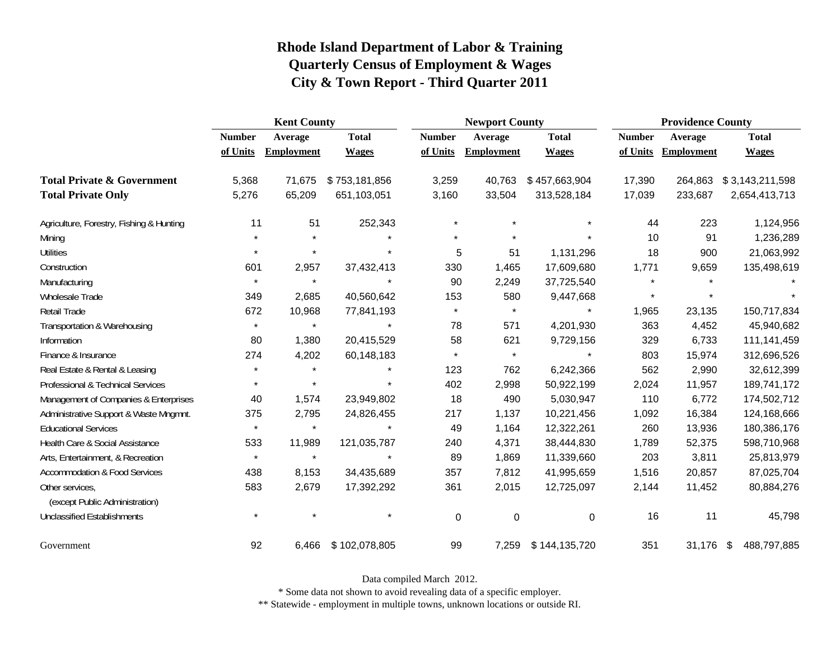|                                                   | <b>Kent County</b> |                   |               | <b>Newport County</b> |                   |               | <b>Providence County</b> |                   |                 |
|---------------------------------------------------|--------------------|-------------------|---------------|-----------------------|-------------------|---------------|--------------------------|-------------------|-----------------|
|                                                   | <b>Number</b>      | Average           | <b>Total</b>  | <b>Number</b>         | Average           | <b>Total</b>  | <b>Number</b>            | Average           | <b>Total</b>    |
|                                                   | of Units           | <b>Employment</b> | <b>Wages</b>  | of Units              | <b>Employment</b> | <b>Wages</b>  | of Units                 | <b>Employment</b> | <b>Wages</b>    |
| <b>Total Private &amp; Government</b>             | 5,368              | 71,675            | \$753,181,856 | 3,259                 | 40,763            | \$457,663,904 | 17,390                   | 264,863           | \$3,143,211,598 |
| <b>Total Private Only</b>                         | 5,276              | 65,209            | 651,103,051   | 3,160                 | 33,504            | 313,528,184   | 17,039                   | 233,687           | 2,654,413,713   |
| Agriculture, Forestry, Fishing & Hunting          | 11                 | 51                | 252,343       | $\star$               | $\star$           |               | 44                       | 223               | 1,124,956       |
| Mining                                            |                    | $\star$           |               | $\star$               |                   |               | 10                       | 91                | 1,236,289       |
| Utilities                                         | $\star$            | $\star$           |               | 5                     | 51                | 1,131,296     | 18                       | 900               | 21,063,992      |
| Construction                                      | 601                | 2,957             | 37,432,413    | 330                   | 1,465             | 17,609,680    | 1,771                    | 9,659             | 135,498,619     |
| Manufacturing                                     | $\star$            | $\star$           | $\star$       | 90                    | 2,249             | 37,725,540    | $\star$                  |                   |                 |
| Wholesale Trade                                   | 349                | 2,685             | 40,560,642    | 153                   | 580               | 9,447,668     | $\star$                  | $\star$           |                 |
| Retail Trade                                      | 672                | 10,968            | 77,841,193    | $\star$               | $\star$           |               | 1,965                    | 23,135            | 150,717,834     |
| Transportation & Warehousing                      | $\star$            | $\star$           | $\star$       | 78                    | 571               | 4,201,930     | 363                      | 4,452             | 45,940,682      |
| Information                                       | 80                 | 1,380             | 20,415,529    | 58                    | 621               | 9,729,156     | 329                      | 6,733             | 111,141,459     |
| Finance & Insurance                               | 274                | 4,202             | 60,148,183    | $\star$               | $\star$           | $\star$       | 803                      | 15,974            | 312,696,526     |
| Real Estate & Rental & Leasing                    |                    | $\star$           |               | 123                   | 762               | 6,242,366     | 562                      | 2,990             | 32,612,399      |
| Professional & Technical Services                 |                    | $\star$           | $\star$       | 402                   | 2,998             | 50,922,199    | 2,024                    | 11,957            | 189,741,172     |
| Management of Companies & Enterprises             | 40                 | 1,574             | 23,949,802    | 18                    | 490               | 5,030,947     | 110                      | 6,772             | 174,502,712     |
| Administrative Support & Waste Mngmnt.            | 375                | 2,795             | 24,826,455    | 217                   | 1,137             | 10,221,456    | 1,092                    | 16,384            | 124,168,666     |
| <b>Educational Services</b>                       | $\star$            | $\star$           |               | 49                    | 1,164             | 12,322,261    | 260                      | 13,936            | 180,386,176     |
| Health Care & Social Assistance                   | 533                | 11,989            | 121,035,787   | 240                   | 4,371             | 38,444,830    | 1,789                    | 52,375            | 598,710,968     |
| Arts, Entertainment, & Recreation                 | $\star$            | $\star$           | $\star$       | 89                    | 1,869             | 11,339,660    | 203                      | 3,811             | 25,813,979      |
| <b>Accommodation &amp; Food Services</b>          | 438                | 8,153             | 34,435,689    | 357                   | 7,812             | 41,995,659    | 1,516                    | 20,857            | 87,025,704      |
| Other services,<br>(except Public Administration) | 583                | 2,679             | 17,392,292    | 361                   | 2,015             | 12,725,097    | 2,144                    | 11,452            | 80,884,276      |
| <b>Unclassified Establishments</b>                | $\star$            | $\star$           | $\star$       | 0                     | $\mathbf 0$       | $\mathbf 0$   | 16                       | 11                | 45,798          |
| Government                                        | 92                 | 6,466             | \$102,078,805 | 99                    | 7,259             | \$144,135,720 | 351                      | 31,176 \$         | 488,797,885     |

Data compiled March 2012.

\* Some data not shown to avoid revealing data of a specific employer.